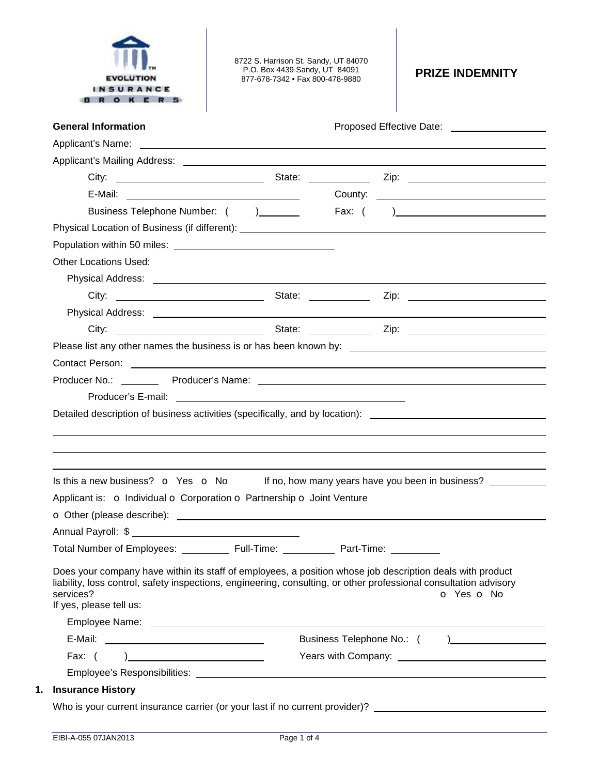

8722 S. Harrison St. Sandy, UT 84070 P.O. Box 4439 Sandy, UT 84091 877-678-7342 • Fax 800-478-9880 **PRIZE INDEMNITY** 

| <b>General Information</b>                                                                                                                                                                                                                                             |            | Proposed Effective Date: ____________________ |
|------------------------------------------------------------------------------------------------------------------------------------------------------------------------------------------------------------------------------------------------------------------------|------------|-----------------------------------------------|
|                                                                                                                                                                                                                                                                        |            |                                               |
|                                                                                                                                                                                                                                                                        |            |                                               |
|                                                                                                                                                                                                                                                                        |            |                                               |
|                                                                                                                                                                                                                                                                        |            |                                               |
| Business Telephone Number: () _______                                                                                                                                                                                                                                  |            |                                               |
|                                                                                                                                                                                                                                                                        |            |                                               |
|                                                                                                                                                                                                                                                                        |            |                                               |
| <b>Other Locations Used:</b>                                                                                                                                                                                                                                           |            |                                               |
|                                                                                                                                                                                                                                                                        |            |                                               |
|                                                                                                                                                                                                                                                                        |            |                                               |
|                                                                                                                                                                                                                                                                        |            |                                               |
|                                                                                                                                                                                                                                                                        |            |                                               |
| Please list any other names the business is or has been known by: __________________________________                                                                                                                                                                   |            |                                               |
| Contact Person: <u>contact Person</u>                                                                                                                                                                                                                                  |            |                                               |
|                                                                                                                                                                                                                                                                        |            |                                               |
|                                                                                                                                                                                                                                                                        |            |                                               |
| Detailed description of business activities (specifically, and by location): _________________________________                                                                                                                                                         |            |                                               |
|                                                                                                                                                                                                                                                                        |            |                                               |
|                                                                                                                                                                                                                                                                        |            |                                               |
|                                                                                                                                                                                                                                                                        |            |                                               |
|                                                                                                                                                                                                                                                                        |            |                                               |
|                                                                                                                                                                                                                                                                        |            |                                               |
| Is this a new business? $\bullet$ Yes $\bullet$ No If no, how many years have you been in business?<br>Applicant is: o Individual o Corporation o Partnership o Joint Venture<br>Total Number of Employees: ____________ Full-Time:                                    | Part-Time: |                                               |
|                                                                                                                                                                                                                                                                        |            | o Yes o No                                    |
|                                                                                                                                                                                                                                                                        |            |                                               |
| Fax: $($                                                                                                                                                                                                                                                               |            |                                               |
| Does your company have within its staff of employees, a position whose job description deals with product<br>liability, loss control, safety inspections, engineering, consulting, or other professional consultation advisory<br>services?<br>If yes, please tell us: |            |                                               |
| <b>Insurance History</b>                                                                                                                                                                                                                                               |            |                                               |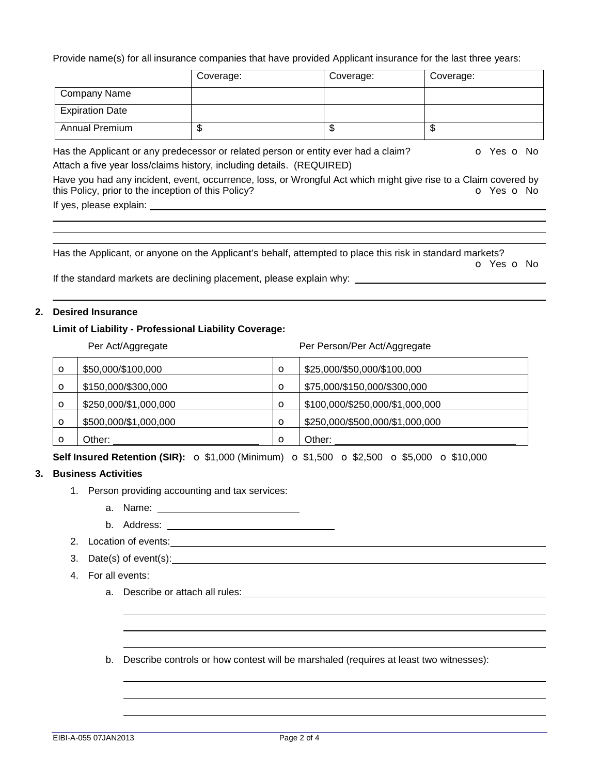Provide name(s) for all insurance companies that have provided Applicant insurance for the last three years:

|                        | Coverage: | Coverage: | Coverage: |
|------------------------|-----------|-----------|-----------|
| Company Name           |           |           |           |
| <b>Expiration Date</b> |           |           |           |
| <b>Annual Premium</b>  | ۰D        | S         | ີ         |

Has the Applicant or any predecessor or related person or entity ever had a claim? **o** Yes **o** No Attach a five year loss/claims history, including details. (REQUIRED)

Have you had any incident, event, occurrence, loss, or Wrongful Act which might give rise to a Claim covered by this Policy, prior to the inception of this Policy? **o** Yes **o** No

If yes, please explain:

Has the Applicant, or anyone on the Applicant's behalf, attempted to place this risk in standard markets? o Yes o No

If the standard markets are declining placement, please explain why:

## **2. Desired Insurance**

### **Limit of Liability - Professional Liability Coverage:**

|         | Per Act/Aggregate     |         | Per Person/Per Act/Aggregate    |  |  |
|---------|-----------------------|---------|---------------------------------|--|--|
| $\circ$ | \$50,000/\$100,000    | $\circ$ | \$25,000/\$50,000/\$100,000     |  |  |
| $\circ$ | \$150,000/\$300,000   | $\circ$ | \$75,000/\$150,000/\$300,000    |  |  |
| $\circ$ | \$250,000/\$1,000,000 | $\circ$ | \$100,000/\$250,000/\$1,000,000 |  |  |
| $\circ$ | \$500,000/\$1,000,000 | $\circ$ | \$250,000/\$500,000/\$1,000,000 |  |  |
| $\circ$ | :Dther                | $\circ$ | Other:                          |  |  |

**Self Insured Retention (SIR):** o \$1,000 (Minimum) o \$1,500 o \$2,500 o \$5,000 o \$10,000

# **3. Business Activities**

- 1. Person providing accounting and tax services:
	- a. Name:
	- b. Address:
- 2. Location of events:
- 3. Date(s) of event(s):

- 4. For all events:
	- a. Describe or attach all rules:

b. Describe controls or how contest will be marshaled (requires at least two witnesses):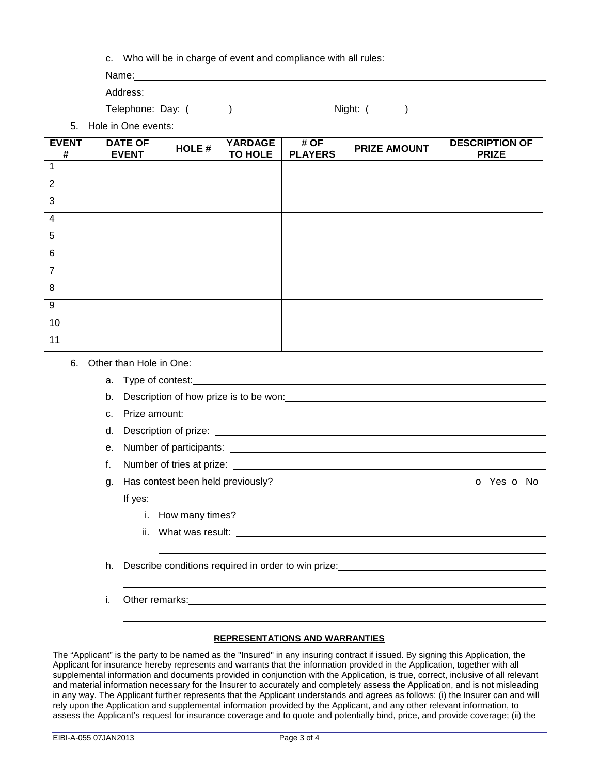c. Who will be in charge of event and compliance with all rules:

Name:

| Telephone: |  |
|------------|--|
|------------|--|

Day:  $($  )  $)$  Night:  $($   $)$ 

5. Hole in One events:

| <b>EVENT</b><br># | <b>DATE OF</b><br><b>EVENT</b> | <b>HOLE#</b> | <b>YARDAGE</b><br><b>TO HOLE</b> | # OF<br><b>PLAYERS</b> | <b>PRIZE AMOUNT</b> | <b>DESCRIPTION OF</b><br><b>PRIZE</b> |
|-------------------|--------------------------------|--------------|----------------------------------|------------------------|---------------------|---------------------------------------|
| 1                 |                                |              |                                  |                        |                     |                                       |
| $\overline{2}$    |                                |              |                                  |                        |                     |                                       |
| 3                 |                                |              |                                  |                        |                     |                                       |
| $\overline{4}$    |                                |              |                                  |                        |                     |                                       |
| $\overline{5}$    |                                |              |                                  |                        |                     |                                       |
| 6                 |                                |              |                                  |                        |                     |                                       |
| $\overline{7}$    |                                |              |                                  |                        |                     |                                       |
| 8                 |                                |              |                                  |                        |                     |                                       |
| 9                 |                                |              |                                  |                        |                     |                                       |
| 10                |                                |              |                                  |                        |                     |                                       |
| 11                |                                |              |                                  |                        |                     |                                       |

### 6. Other than Hole in One:

a. Type of contest:

b. Description of how prize is to be won:

- c. Prize amount:
- d. Description of prize:
- e. Number of participants:
- f. Number of tries at prize:
- g. Has contest been held previously? The contest of Yes of No. The Contest of No. The Contest of No. The Contest of No. The Contest of No. The Contest of No. The Contest of No. The Contest of No. The Contest of No. The Con

### If yes:

- i. How many times?
- ii. What was result:

h. Describe conditions required in order to win prize:

i. Other remarks:

### **REPRESENTATIONS AND WARRANTIES**

The "Applicant" is the party to be named as the "Insured" in any insuring contract if issued. By signing this Application, the Applicant for insurance hereby represents and warrants that the information provided in the Application, together with all supplemental information and documents provided in conjunction with the Application, is true, correct, inclusive of all relevant and material information necessary for the Insurer to accurately and completely assess the Application, and is not misleading in any way. The Applicant further represents that the Applicant understands and agrees as follows: (i) the Insurer can and will rely upon the Application and supplemental information provided by the Applicant, and any other relevant information, to assess the Applicant's request for insurance coverage and to quote and potentially bind, price, and provide coverage; (ii) the